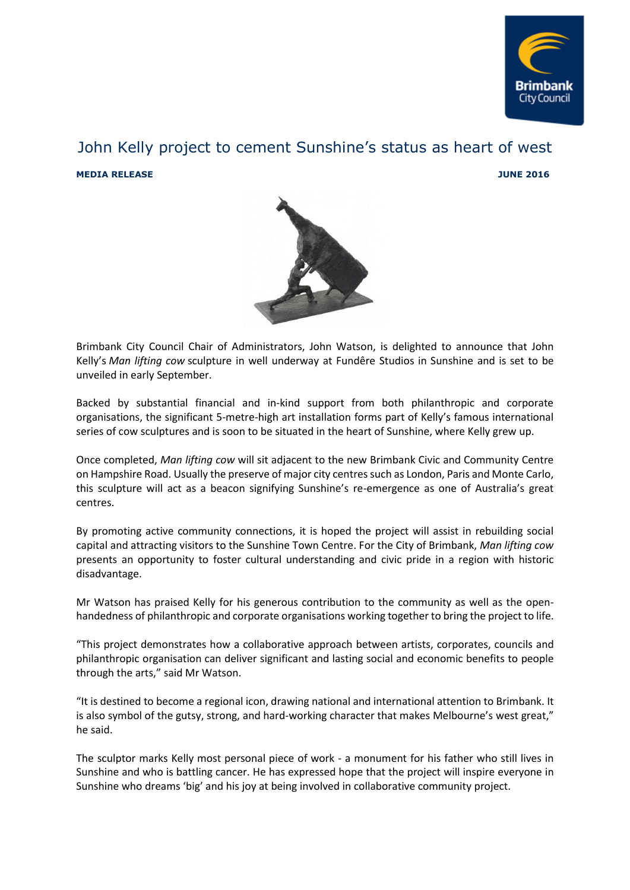

## John Kelly project to cement Sunshine's status as heart of west **MEDIA RELEASE 3016**



Brimbank City Council Chair of Administrators, John Watson, is delighted to announce that John Kelly's *Man lifting cow* sculpture in well underway at Fundêre Studios in Sunshine and is set to be unveiled in early September.

Backed by substantial financial and in-kind support from both philanthropic and corporate organisations, the significant 5-metre-high art installation forms part of Kelly's famous international series of cow sculptures and is soon to be situated in the heart of Sunshine, where Kelly grew up.

Once completed, *Man lifting cow* will sit adjacent to the new Brimbank Civic and Community Centre on Hampshire Road. Usually the preserve of major city centres such as London, Paris and Monte Carlo, this sculpture will act as a beacon signifying Sunshine's re-emergence as one of Australia's great centres.

By promoting active community connections, it is hoped the project will assist in rebuilding social capital and attracting visitors to the Sunshine Town Centre. For the City of Brimbank, *Man lifting cow* presents an opportunity to foster cultural understanding and civic pride in a region with historic disadvantage.

Mr Watson has praised Kelly for his generous contribution to the community as well as the openhandedness of philanthropic and corporate organisations working together to bring the project to life.

"This project demonstrates how a collaborative approach between artists, corporates, councils and philanthropic organisation can deliver significant and lasting social and economic benefits to people through the arts," said Mr Watson.

"It is destined to become a regional icon, drawing national and international attention to Brimbank. It is also symbol of the gutsy, strong, and hard-working character that makes Melbourne's west great," he said.

The sculptor marks Kelly most personal piece of work - a monument for his father who still lives in Sunshine and who is battling cancer. He has expressed hope that the project will inspire everyone in Sunshine who dreams 'big' and his joy at being involved in collaborative community project.